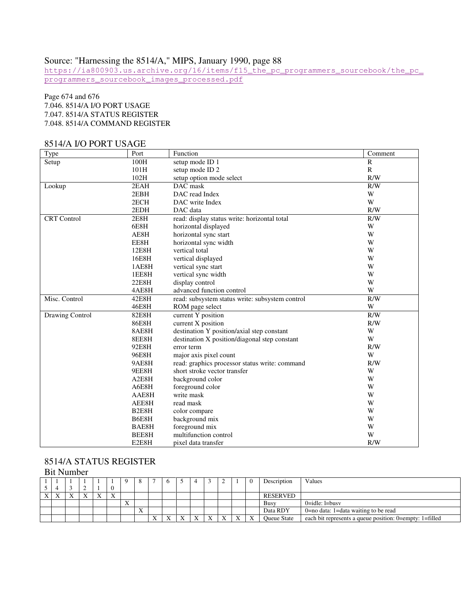# Source: "Harnessing the 8514/A," MIPS, January 1990, page 88

https://ia800903.us.archive.org/16/items/f15\_the\_pc\_programmers\_sourcebook/the\_pc\_ programmers\_sourcebook\_images\_processed.pdf

### Page 674 and 676 7.046. 8514/A I/O PORT USAGE 7.047. 8514/A STATUS REGISTER 7.048. 8514/A COMMAND REGISTER

### 8514/A I/O PORT USAGE

| Type               | Port               | Function                                        | Comment      |
|--------------------|--------------------|-------------------------------------------------|--------------|
| Setup              | 100H               | setup mode ID 1                                 | $\mathbb{R}$ |
|                    | 101H               | setup mode ID <sub>2</sub>                      | $\mathbb{R}$ |
|                    | 102H               | setup option mode select                        | R/W          |
| Lookup             | 2EAH               | DAC mask                                        | R/W          |
|                    | 2EBH               | DAC read Index                                  | W            |
|                    | 2ECH               | DAC write Index                                 | W            |
|                    | 2EDH               | DAC data                                        | R/W          |
| <b>CRT</b> Control | 2E8H               | read: display status write: horizontal total    | R/W          |
|                    | 6E8H               | horizontal displayed                            | W            |
|                    | AE8H               | horizontal sync start                           | W            |
|                    | EE8H               | horizontal sync width                           | W            |
|                    | 12E8H              | vertical total                                  | W            |
|                    | 16E8H              | vertical displayed                              | W            |
|                    | 1AE8H              | vertical sync start                             | W            |
|                    | 1EE8H              | vertical sync width                             | W            |
|                    | 22E8H              | display control                                 | W            |
|                    | 4AE8H              | advanced function control                       | W            |
| Misc. Control      | 42E8H              | read: subsystem status write: subsystem control | R/W          |
|                    | 46E8H              | ROM page select                                 | W            |
| Drawing Control    | 82E8H              | current Y position                              | R/W          |
|                    | 86E8H              | current X position                              | R/W          |
|                    | 8AE8H              | destination Y position/axial step constant      | W            |
|                    | 8EE8H              | destination X position/diagonal step constant   | W            |
|                    | 92E8H              | error term                                      | R/W          |
|                    | 96E8H              | major axis pixel count                          | W            |
|                    | 9AE8H              | read: graphics processor status write: command  | R/W          |
|                    | 9EE8H              | short stroke vector transfer                    | W            |
|                    | A2E8H              | background color                                | W            |
|                    | A6E8H              | foreground color                                | W            |
|                    | AAE8H              | write mask                                      | W            |
|                    | AEE8H              | read mask                                       | W            |
|                    | B <sub>2E8</sub> H | color compare                                   | W            |
|                    | B6E8H              | background mix                                  | W            |
|                    | BAE8H              | foreground mix                                  | W            |
|                    | BEE8H              | multifunction control                           | W            |
|                    | E2E8H              | pixel data transfer                             | R/W          |

#### 8514/A STATUS REGISTER Bit Number

| DIL INUITIDEL |           |  |  |  |                           |                           |   |           |  |  |  |          |  |                    |                                                         |
|---------------|-----------|--|--|--|---------------------------|---------------------------|---|-----------|--|--|--|----------|--|--------------------|---------------------------------------------------------|
|               |           |  |  |  |                           |                           |   |           |  |  |  | $\Delta$ |  | Description        | Values                                                  |
|               |           |  |  |  |                           |                           |   |           |  |  |  |          |  |                    |                                                         |
| X             | $\Lambda$ |  |  |  | $\mathbf{x}$<br>$\Lambda$ |                           |   |           |  |  |  |          |  | RESERVED           |                                                         |
|               |           |  |  |  |                           | $\mathbf{v}$<br>$\Lambda$ |   |           |  |  |  |          |  | Busy               | $0 = idle: 1 = busv$                                    |
|               |           |  |  |  |                           |                           | X |           |  |  |  |          |  | Data RDY           | 0=no data: 1=data waiting to be read                    |
|               |           |  |  |  |                           |                           |   | $\Lambda$ |  |  |  | X        |  | <b>Oueue State</b> | each bit represents a queue position: 0=empty: 1=filled |